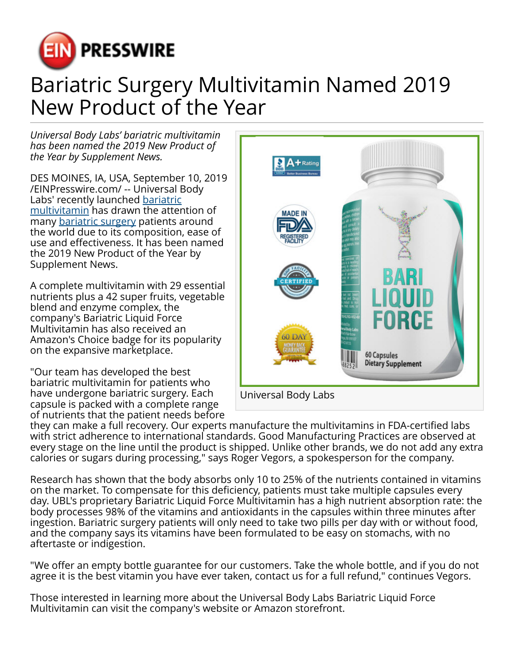

## Bariatric Surgery Multivitamin Named 2019 New Product of the Year

*Universal Body Labs' bariatric multivitamin has been named the 2019 New Product of the Year by Supplement News.*

DES MOINES, IA, USA, September 10, 2019 [/EINPresswire.com/](http://www.einpresswire.com) -- Universal Body Labs' recently launched [bariatric](http://amznoffer.com/c41920d9ba9b6931) [multivitamin](http://amznoffer.com/c41920d9ba9b6931) has drawn the attention of many **bariatric surgery** patients around the world due to its composition, ease of use and effectiveness. It has been named the 2019 New Product of the Year by Supplement News.

A complete multivitamin with 29 essential nutrients plus a 42 super fruits, vegetable blend and enzyme complex, the company's Bariatric Liquid Force Multivitamin has also received an Amazon's Choice badge for its popularity on the expansive marketplace.

"Our team has developed the best bariatric multivitamin for patients who have undergone bariatric surgery. Each capsule is packed with a complete range of nutrients that the patient needs before



they can make a full recovery. Our experts manufacture the multivitamins in FDA-certified labs with strict adherence to international standards. Good Manufacturing Practices are observed at every stage on the line until the product is shipped. Unlike other brands, we do not add any extra calories or sugars during processing," says Roger Vegors, a spokesperson for the company.

Research has shown that the body absorbs only 10 to 25% of the nutrients contained in vitamins on the market. To compensate for this deficiency, patients must take multiple capsules every day. UBL's proprietary Bariatric Liquid Force Multivitamin has a high nutrient absorption rate: the body processes 98% of the vitamins and antioxidants in the capsules within three minutes after ingestion. Bariatric surgery patients will only need to take two pills per day with or without food, and the company says its vitamins have been formulated to be easy on stomachs, with no aftertaste or indigestion.

"We offer an empty bottle guarantee for our customers. Take the whole bottle, and if you do not agree it is the best vitamin you have ever taken, contact us for a full refund," continues Vegors.

Those interested in learning more about the Universal Body Labs Bariatric Liquid Force Multivitamin can visit the company's website or Amazon storefront.